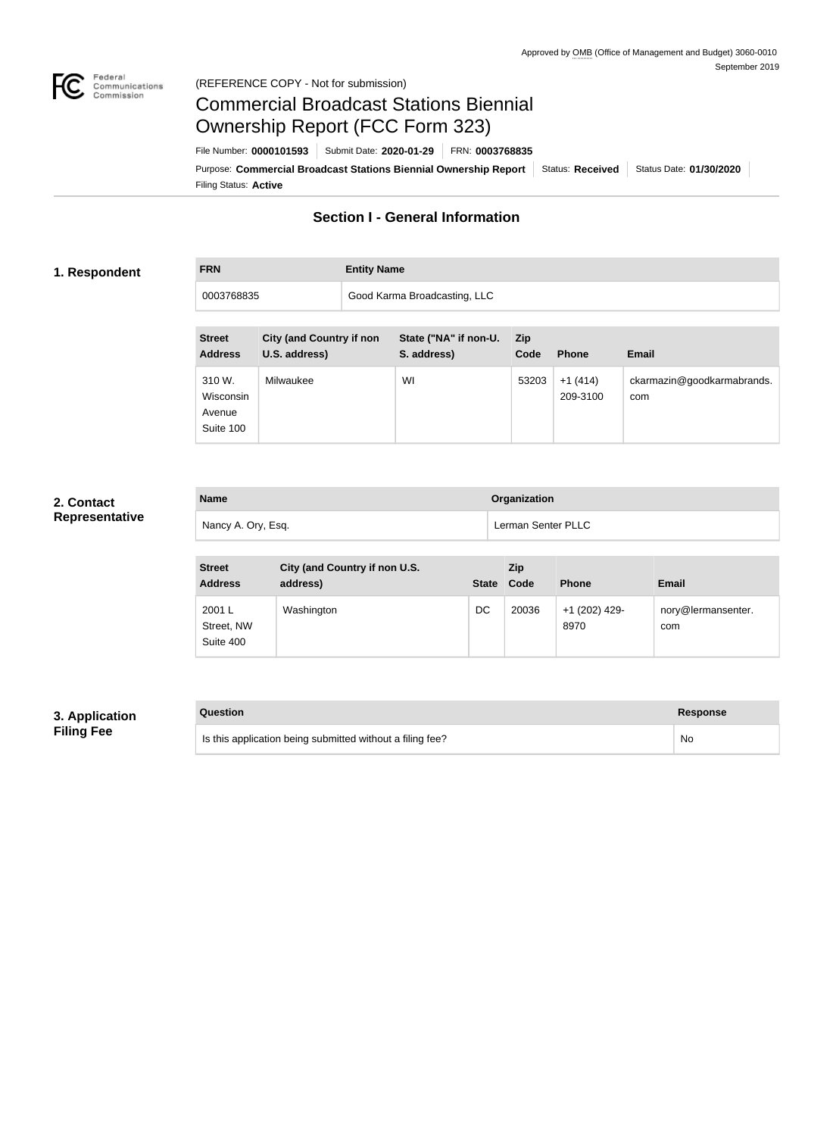

#### Federal<br>Communications<br>Commission (REFERENCE COPY - Not for submission)

# Commercial Broadcast Stations Biennial Ownership Report (FCC Form 323)

Filing Status: **Active** Purpose: Commercial Broadcast Stations Biennial Ownership Report Status: Received Status Date: 01/30/2020 File Number: **0000101593** Submit Date: **2020-01-29** FRN: **0003768835**

## **Section I - General Information**

### **1. Respondent**

## **FRN Entity Name**

| 168835 | Good Karma Broadcasting, LLC |
|--------|------------------------------|
|        |                              |

| <b>Street</b><br><b>Address</b>            | <b>City (and Country if non</b><br>U.S. address) | State ("NA" if non-U.<br>S. address) | <b>Zip</b><br>Code | <b>Phone</b>          | <b>Email</b>                      |
|--------------------------------------------|--------------------------------------------------|--------------------------------------|--------------------|-----------------------|-----------------------------------|
| 310 W.<br>Wisconsin<br>Avenue<br>Suite 100 | Milwaukee                                        | WI                                   | 53203              | $+1(414)$<br>209-3100 | ckarmazin@goodkarmabrands.<br>com |

## **2. Contact Representative**

| <b>Name</b>        | <b>Organization</b> |
|--------------------|---------------------|
| Nancy A. Ory, Esq. | Lerman Senter PLLC  |

| <b>Street</b><br><b>Address</b>   | City (and Country if non U.S.<br>address) | <b>State</b> | <b>Zip</b><br>Code | <b>Phone</b>          | <b>Email</b>              |
|-----------------------------------|-------------------------------------------|--------------|--------------------|-----------------------|---------------------------|
| 2001 L<br>Street, NW<br>Suite 400 | Washington                                | DC           | 20036              | +1 (202) 429-<br>8970 | nory@lermansenter.<br>com |

## **3. Application Filing Fee**

| Question                                                  | Response |
|-----------------------------------------------------------|----------|
| Is this application being submitted without a filing fee? | No       |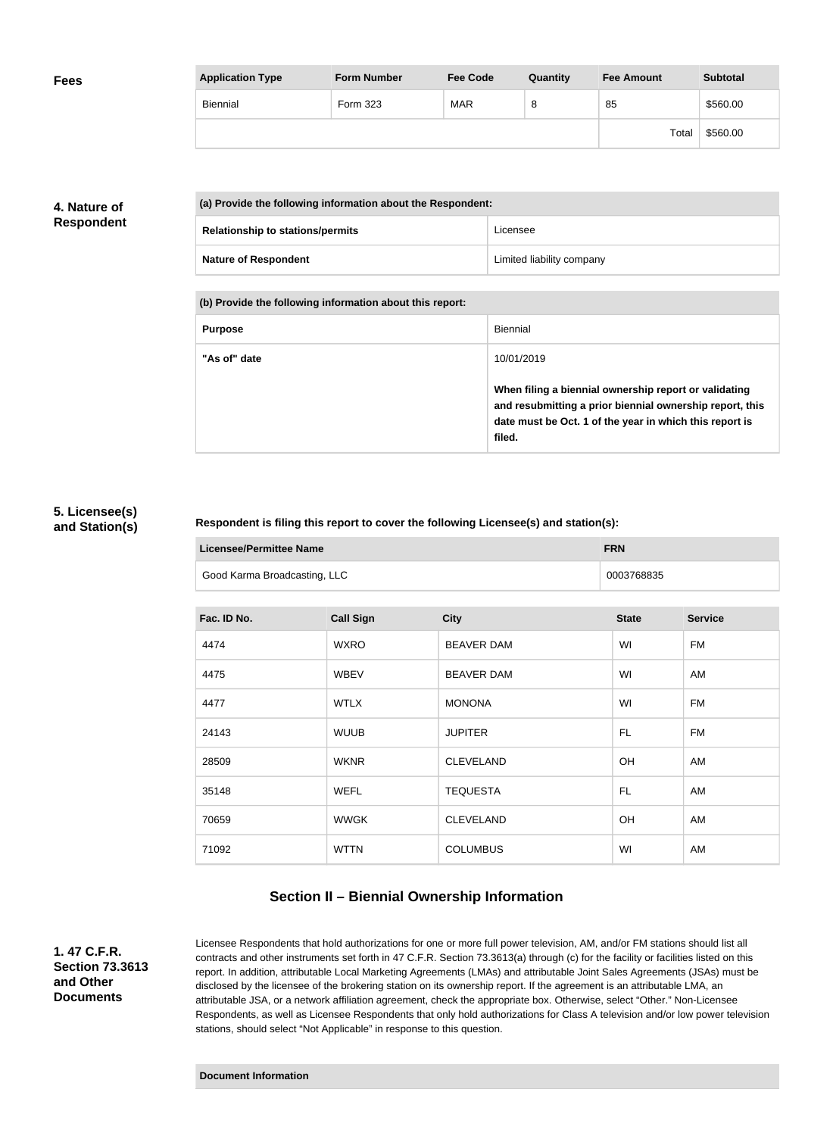| <b>Fees</b> | <b>Application Type</b> | <b>Form Number</b> | <b>Fee Code</b> | Quantity | <b>Fee Amount</b> | <b>Subtotal</b> |
|-------------|-------------------------|--------------------|-----------------|----------|-------------------|-----------------|
|             | Biennial                | Form 323           | <b>MAR</b>      | 8        | 85                | \$560.00        |
|             |                         |                    |                 |          | Total             | \$560.00        |

## **4. Nature of Respondent**

| (a) Provide the following information about the Respondent: |                           |  |
|-------------------------------------------------------------|---------------------------|--|
| <b>Relationship to stations/permits</b>                     | Licensee                  |  |
| <b>Nature of Respondent</b>                                 | Limited liability company |  |

**(b) Provide the following information about this report:**

| <b>Purpose</b> | Biennial                                                                                                                                                                               |
|----------------|----------------------------------------------------------------------------------------------------------------------------------------------------------------------------------------|
| "As of" date   | 10/01/2019                                                                                                                                                                             |
|                | When filing a biennial ownership report or validating<br>and resubmitting a prior biennial ownership report, this<br>date must be Oct. 1 of the year in which this report is<br>filed. |

#### **5. Licensee(s) and Station(s)**

#### **Respondent is filing this report to cover the following Licensee(s) and station(s):**

| Licensee/Permittee Name      | <b>FRN</b> |
|------------------------------|------------|
| Good Karma Broadcasting, LLC | 0003768835 |

| Fac. ID No. | <b>Call Sign</b> | <b>City</b>       | <b>State</b> | <b>Service</b> |
|-------------|------------------|-------------------|--------------|----------------|
| 4474        | <b>WXRO</b>      | <b>BEAVER DAM</b> | WI           | <b>FM</b>      |
| 4475        | <b>WBEV</b>      | <b>BEAVER DAM</b> | WI           | AM             |
| 4477        | <b>WTLX</b>      | <b>MONONA</b>     | WI           | <b>FM</b>      |
| 24143       | <b>WUUB</b>      | <b>JUPITER</b>    | FL.          | <b>FM</b>      |
| 28509       | <b>WKNR</b>      | <b>CLEVELAND</b>  | <b>OH</b>    | AM             |
| 35148       | <b>WEFL</b>      | <b>TEQUESTA</b>   | FL.          | AM             |
| 70659       | <b>WWGK</b>      | <b>CLEVELAND</b>  | <b>OH</b>    | AM             |
| 71092       | <b>WTTN</b>      | <b>COLUMBUS</b>   | WI           | AM             |

## **Section II – Biennial Ownership Information**

**1. 47 C.F.R. Section 73.3613 and Other Documents**

Licensee Respondents that hold authorizations for one or more full power television, AM, and/or FM stations should list all contracts and other instruments set forth in 47 C.F.R. Section 73.3613(a) through (c) for the facility or facilities listed on this report. In addition, attributable Local Marketing Agreements (LMAs) and attributable Joint Sales Agreements (JSAs) must be disclosed by the licensee of the brokering station on its ownership report. If the agreement is an attributable LMA, an attributable JSA, or a network affiliation agreement, check the appropriate box. Otherwise, select "Other." Non-Licensee Respondents, as well as Licensee Respondents that only hold authorizations for Class A television and/or low power television stations, should select "Not Applicable" in response to this question.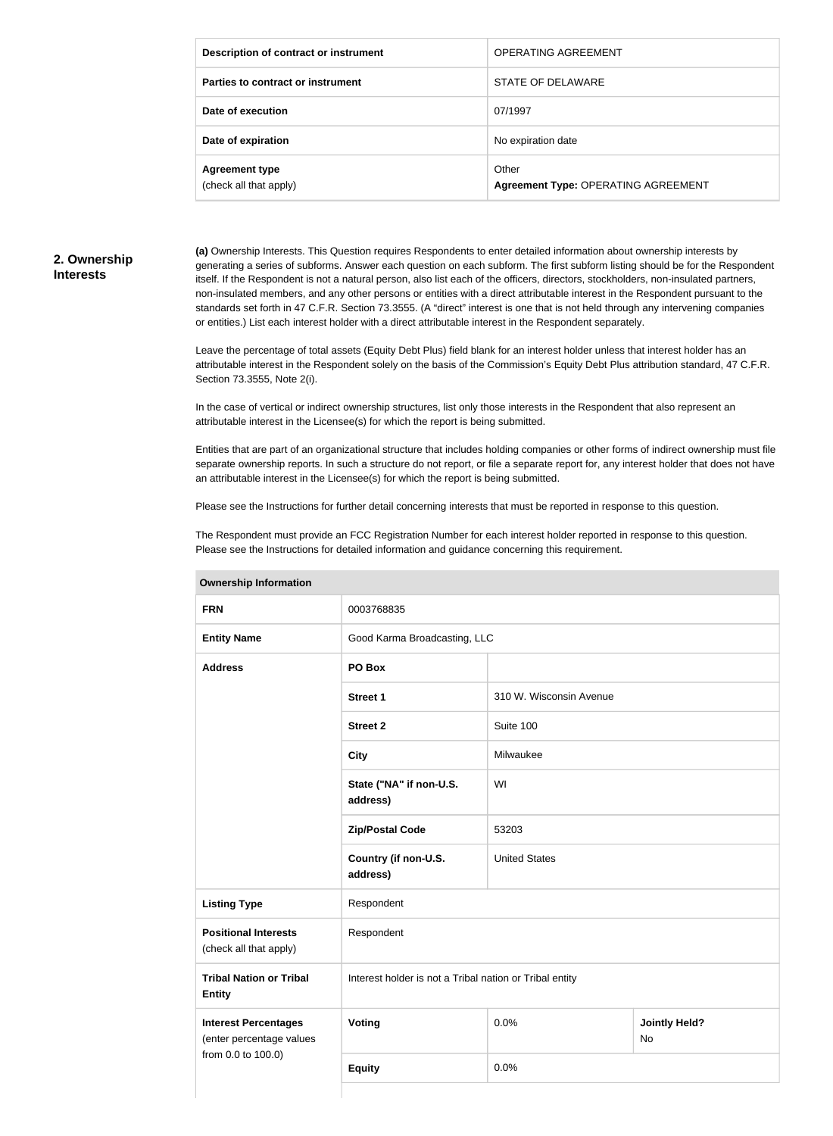| Description of contract or instrument           | <b>OPERATING AGREEMENT</b>                          |
|-------------------------------------------------|-----------------------------------------------------|
| Parties to contract or instrument               | STATE OF DELAWARE                                   |
| Date of execution                               | 07/1997                                             |
| Date of expiration                              | No expiration date                                  |
| <b>Agreement type</b><br>(check all that apply) | Other<br><b>Agreement Type: OPERATING AGREEMENT</b> |

#### **2. Ownership Interests**

**(a)** Ownership Interests. This Question requires Respondents to enter detailed information about ownership interests by generating a series of subforms. Answer each question on each subform. The first subform listing should be for the Respondent itself. If the Respondent is not a natural person, also list each of the officers, directors, stockholders, non-insulated partners, non-insulated members, and any other persons or entities with a direct attributable interest in the Respondent pursuant to the standards set forth in 47 C.F.R. Section 73.3555. (A "direct" interest is one that is not held through any intervening companies or entities.) List each interest holder with a direct attributable interest in the Respondent separately.

Leave the percentage of total assets (Equity Debt Plus) field blank for an interest holder unless that interest holder has an attributable interest in the Respondent solely on the basis of the Commission's Equity Debt Plus attribution standard, 47 C.F.R. Section 73.3555, Note 2(i).

In the case of vertical or indirect ownership structures, list only those interests in the Respondent that also represent an attributable interest in the Licensee(s) for which the report is being submitted.

Entities that are part of an organizational structure that includes holding companies or other forms of indirect ownership must file separate ownership reports. In such a structure do not report, or file a separate report for, any interest holder that does not have an attributable interest in the Licensee(s) for which the report is being submitted.

Please see the Instructions for further detail concerning interests that must be reported in response to this question.

The Respondent must provide an FCC Registration Number for each interest holder reported in response to this question. Please see the Instructions for detailed information and guidance concerning this requirement.

| ווטוואווויטווון קוווטוטווטו                             |                                                         |                         |                            |  |
|---------------------------------------------------------|---------------------------------------------------------|-------------------------|----------------------------|--|
| <b>FRN</b>                                              | 0003768835                                              |                         |                            |  |
| <b>Entity Name</b>                                      | Good Karma Broadcasting, LLC                            |                         |                            |  |
| <b>Address</b>                                          | PO Box                                                  |                         |                            |  |
|                                                         | Street 1                                                | 310 W. Wisconsin Avenue |                            |  |
|                                                         | <b>Street 2</b>                                         | Suite 100               |                            |  |
|                                                         | <b>City</b>                                             | Milwaukee               |                            |  |
|                                                         | State ("NA" if non-U.S.<br>address)                     | WI                      |                            |  |
|                                                         | <b>Zip/Postal Code</b>                                  | 53203                   |                            |  |
|                                                         | Country (if non-U.S.<br>address)                        | <b>United States</b>    |                            |  |
| <b>Listing Type</b>                                     | Respondent                                              |                         |                            |  |
| <b>Positional Interests</b><br>(check all that apply)   | Respondent                                              |                         |                            |  |
| <b>Tribal Nation or Tribal</b><br><b>Entity</b>         | Interest holder is not a Tribal nation or Tribal entity |                         |                            |  |
| <b>Interest Percentages</b><br>(enter percentage values | <b>Voting</b>                                           | 0.0%                    | <b>Jointly Held?</b><br>No |  |
| from 0.0 to 100.0)                                      | <b>Equity</b>                                           | 0.0%                    |                            |  |
|                                                         |                                                         |                         |                            |  |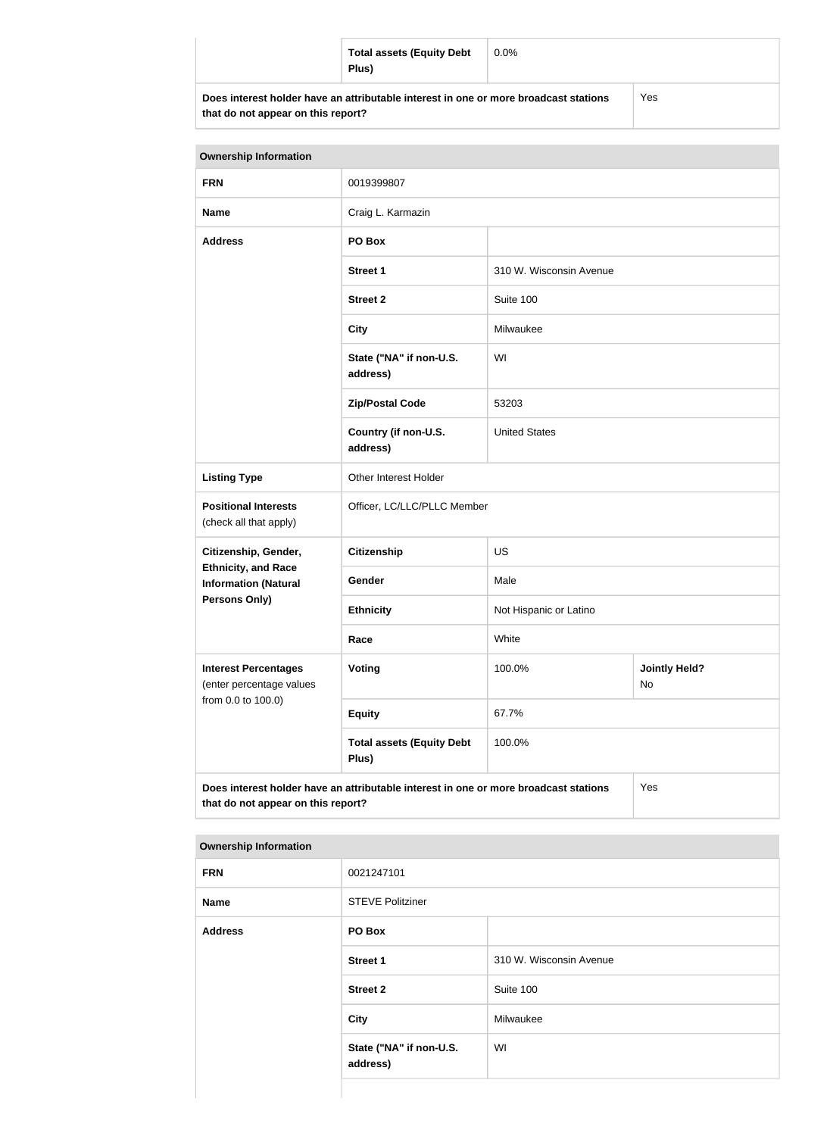| <b>Total assets (Equity Debt</b><br>Plus)                                            | $0.0\%$ |     |
|--------------------------------------------------------------------------------------|---------|-----|
| Does interest holder have an attributable interest in one or more broadcast stations |         | Yes |

**that do not appear on this report?**

Yes

| <b>Ownership Information</b>                              |                                                                                      |                         |                            |
|-----------------------------------------------------------|--------------------------------------------------------------------------------------|-------------------------|----------------------------|
| <b>FRN</b>                                                | 0019399807                                                                           |                         |                            |
| <b>Name</b>                                               | Craig L. Karmazin                                                                    |                         |                            |
| <b>Address</b>                                            | PO Box                                                                               |                         |                            |
|                                                           | <b>Street 1</b>                                                                      | 310 W. Wisconsin Avenue |                            |
|                                                           | <b>Street 2</b>                                                                      | Suite 100               |                            |
|                                                           | <b>City</b>                                                                          | Milwaukee               |                            |
|                                                           | State ("NA" if non-U.S.<br>address)                                                  | WI                      |                            |
|                                                           | <b>Zip/Postal Code</b>                                                               | 53203                   |                            |
|                                                           | Country (if non-U.S.<br>address)                                                     | <b>United States</b>    |                            |
| <b>Listing Type</b>                                       | Other Interest Holder                                                                |                         |                            |
| <b>Positional Interests</b><br>(check all that apply)     | Officer, LC/LLC/PLLC Member                                                          |                         |                            |
| Citizenship, Gender,                                      | <b>Citizenship</b>                                                                   | <b>US</b>               |                            |
| <b>Ethnicity, and Race</b><br><b>Information (Natural</b> | Gender                                                                               | Male                    |                            |
| <b>Persons Only)</b>                                      | <b>Ethnicity</b>                                                                     | Not Hispanic or Latino  |                            |
|                                                           | Race                                                                                 | White                   |                            |
| <b>Interest Percentages</b><br>(enter percentage values   | Voting                                                                               | 100.0%                  | <b>Jointly Held?</b><br>No |
| from 0.0 to 100.0)                                        | <b>Equity</b>                                                                        | 67.7%                   |                            |
|                                                           | <b>Total assets (Equity Debt</b><br>Plus)                                            | 100.0%                  |                            |
| that do not appear on this report?                        | Does interest holder have an attributable interest in one or more broadcast stations |                         | Yes                        |

| <b>FRN</b>     | 0021247101                          |                         |
|----------------|-------------------------------------|-------------------------|
| <b>Name</b>    | <b>STEVE Politziner</b>             |                         |
| <b>Address</b> | PO Box                              |                         |
|                | <b>Street 1</b>                     | 310 W. Wisconsin Avenue |
|                | <b>Street 2</b>                     | Suite 100               |
|                | <b>City</b>                         | Milwaukee               |
|                | State ("NA" if non-U.S.<br>address) | WI                      |
|                |                                     |                         |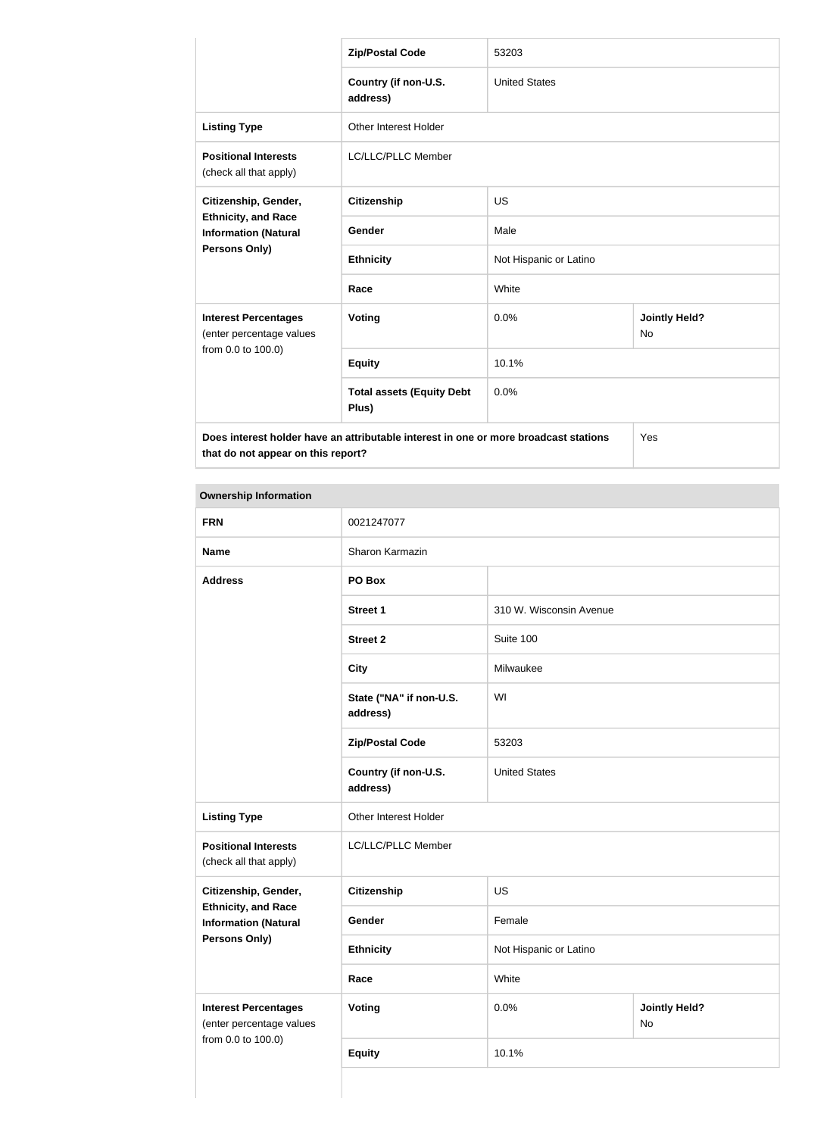|                                                           | <b>Zip/Postal Code</b>                                                               | 53203                  |                                   |
|-----------------------------------------------------------|--------------------------------------------------------------------------------------|------------------------|-----------------------------------|
|                                                           | Country (if non-U.S.<br>address)                                                     | <b>United States</b>   |                                   |
| <b>Listing Type</b>                                       | <b>Other Interest Holder</b>                                                         |                        |                                   |
| <b>Positional Interests</b><br>(check all that apply)     | <b>LC/LLC/PLLC Member</b>                                                            |                        |                                   |
| Citizenship, Gender,                                      | <b>Citizenship</b>                                                                   | <b>US</b>              |                                   |
| <b>Ethnicity, and Race</b><br><b>Information (Natural</b> | Gender                                                                               | Male                   |                                   |
| Persons Only)                                             | <b>Ethnicity</b>                                                                     | Not Hispanic or Latino |                                   |
|                                                           | Race                                                                                 | White                  |                                   |
| <b>Interest Percentages</b><br>(enter percentage values   | Voting                                                                               | 0.0%                   | <b>Jointly Held?</b><br><b>No</b> |
| from 0.0 to 100.0)                                        | <b>Equity</b>                                                                        | 10.1%                  |                                   |
|                                                           | <b>Total assets (Equity Debt</b><br>Plus)                                            | 0.0%                   |                                   |
|                                                           | Does interest holder have an attributable interest in one or more broadcast stations |                        | Yes                               |

**that do not appear on this report?**

| <b>Ownership Information</b>                              |                                     |                         |                            |
|-----------------------------------------------------------|-------------------------------------|-------------------------|----------------------------|
| <b>FRN</b>                                                | 0021247077                          |                         |                            |
| <b>Name</b>                                               | Sharon Karmazin                     |                         |                            |
| <b>Address</b>                                            | PO Box                              |                         |                            |
|                                                           | <b>Street 1</b>                     | 310 W. Wisconsin Avenue |                            |
|                                                           | <b>Street 2</b>                     | Suite 100               |                            |
|                                                           | <b>City</b>                         | Milwaukee               |                            |
|                                                           | State ("NA" if non-U.S.<br>address) | WI                      |                            |
|                                                           | <b>Zip/Postal Code</b>              | 53203                   |                            |
|                                                           | Country (if non-U.S.<br>address)    | <b>United States</b>    |                            |
| <b>Listing Type</b>                                       | Other Interest Holder               |                         |                            |
| <b>Positional Interests</b><br>(check all that apply)     | LC/LLC/PLLC Member                  |                         |                            |
| Citizenship, Gender,                                      | <b>Citizenship</b>                  | <b>US</b>               |                            |
| <b>Ethnicity, and Race</b><br><b>Information (Natural</b> | Gender                              | Female                  |                            |
| <b>Persons Only)</b>                                      | <b>Ethnicity</b>                    | Not Hispanic or Latino  |                            |
|                                                           | Race                                | White                   |                            |
| <b>Interest Percentages</b><br>(enter percentage values   | <b>Voting</b>                       | 0.0%                    | <b>Jointly Held?</b><br>No |
| from 0.0 to 100.0)                                        | <b>Equity</b>                       | 10.1%                   |                            |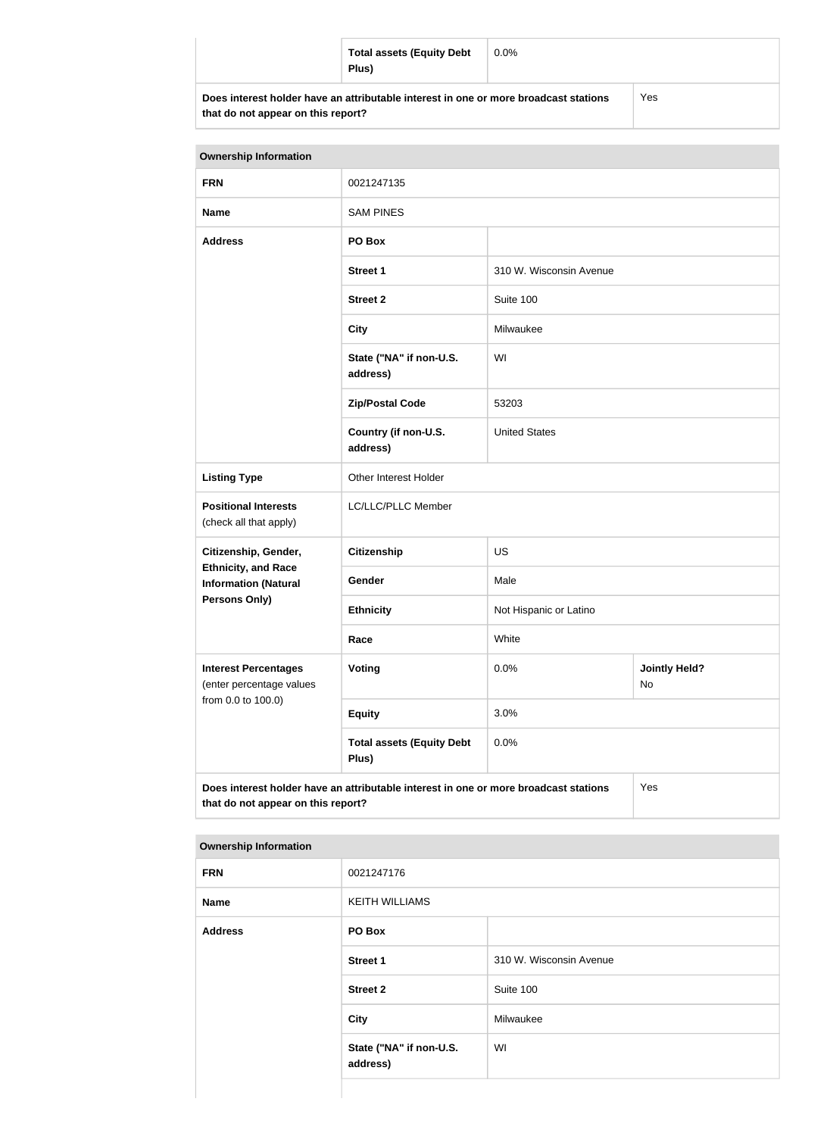| <b>Total assets (Equity Debt</b><br>Plus)                                            | $0.0\%$ |     |
|--------------------------------------------------------------------------------------|---------|-----|
| Does interest holder have an attributable interest in one or more broadcast stations |         | Yes |

**that do not appear on this report?**

| <b>Ownership Information</b>                              |                                                                                      |                         |                            |
|-----------------------------------------------------------|--------------------------------------------------------------------------------------|-------------------------|----------------------------|
| <b>FRN</b>                                                | 0021247135                                                                           |                         |                            |
| <b>Name</b>                                               | <b>SAM PINES</b>                                                                     |                         |                            |
| <b>Address</b>                                            | PO Box                                                                               |                         |                            |
|                                                           | <b>Street 1</b>                                                                      | 310 W. Wisconsin Avenue |                            |
|                                                           | <b>Street 2</b>                                                                      | Suite 100               |                            |
|                                                           | <b>City</b>                                                                          | Milwaukee               |                            |
|                                                           | State ("NA" if non-U.S.<br>address)                                                  | WI                      |                            |
|                                                           | <b>Zip/Postal Code</b>                                                               | 53203                   |                            |
|                                                           | Country (if non-U.S.<br>address)                                                     | <b>United States</b>    |                            |
| <b>Listing Type</b>                                       | Other Interest Holder                                                                |                         |                            |
| <b>Positional Interests</b><br>(check all that apply)     | LC/LLC/PLLC Member                                                                   |                         |                            |
| Citizenship, Gender,                                      | <b>Citizenship</b>                                                                   | <b>US</b>               |                            |
| <b>Ethnicity, and Race</b><br><b>Information (Natural</b> | Gender                                                                               | Male                    |                            |
| Persons Only)                                             | <b>Ethnicity</b>                                                                     | Not Hispanic or Latino  |                            |
|                                                           | Race                                                                                 | White                   |                            |
| <b>Interest Percentages</b><br>(enter percentage values   | Voting                                                                               | 0.0%                    | <b>Jointly Held?</b><br>No |
| from 0.0 to 100.0)                                        | <b>Equity</b>                                                                        | 3.0%                    |                            |
|                                                           | <b>Total assets (Equity Debt</b><br>Plus)                                            | 0.0%                    |                            |
| that do not appear on this report?                        | Does interest holder have an attributable interest in one or more broadcast stations |                         | Yes                        |

| <b>FRN</b>     | 0021247176                          |                         |
|----------------|-------------------------------------|-------------------------|
| <b>Name</b>    | <b>KEITH WILLIAMS</b>               |                         |
| <b>Address</b> | PO Box                              |                         |
|                | <b>Street 1</b>                     | 310 W. Wisconsin Avenue |
|                | <b>Street 2</b>                     | Suite 100               |
|                | <b>City</b>                         | Milwaukee               |
|                | State ("NA" if non-U.S.<br>address) | WI                      |
|                |                                     |                         |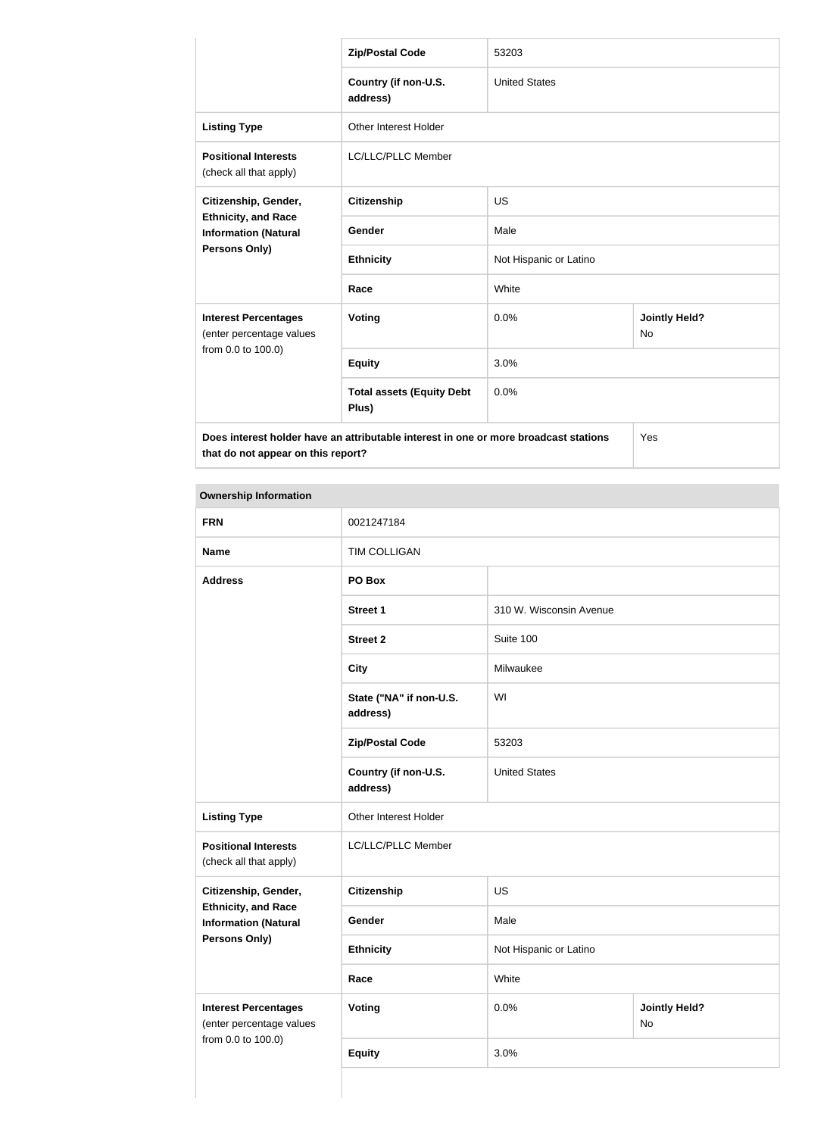|                                                           | <b>Zip/Postal Code</b>                                                               | 53203                  |                            |
|-----------------------------------------------------------|--------------------------------------------------------------------------------------|------------------------|----------------------------|
|                                                           | Country (if non-U.S.<br>address)                                                     | <b>United States</b>   |                            |
| <b>Listing Type</b>                                       | <b>Other Interest Holder</b>                                                         |                        |                            |
| <b>Positional Interests</b><br>(check all that apply)     | LC/LLC/PLLC Member                                                                   |                        |                            |
| Citizenship, Gender,                                      | <b>Citizenship</b>                                                                   | <b>US</b>              |                            |
| <b>Ethnicity, and Race</b><br><b>Information (Natural</b> | Gender                                                                               | Male                   |                            |
| Persons Only)                                             | <b>Ethnicity</b>                                                                     | Not Hispanic or Latino |                            |
|                                                           | Race                                                                                 | White                  |                            |
| <b>Interest Percentages</b><br>(enter percentage values   | <b>Voting</b>                                                                        | 0.0%                   | <b>Jointly Held?</b><br>No |
| from 0.0 to 100.0)                                        | <b>Equity</b>                                                                        | 3.0%                   |                            |
|                                                           | <b>Total assets (Equity Debt</b><br>Plus)                                            | 0.0%                   |                            |
| that do not appear on this report?                        | Does interest holder have an attributable interest in one or more broadcast stations |                        | Yes                        |

| o mnoromp mnormanom                                       |                                     |                         |                            |
|-----------------------------------------------------------|-------------------------------------|-------------------------|----------------------------|
| <b>FRN</b>                                                | 0021247184                          |                         |                            |
| <b>Name</b>                                               | <b>TIM COLLIGAN</b>                 |                         |                            |
| <b>Address</b>                                            | PO Box                              |                         |                            |
|                                                           | <b>Street 1</b>                     | 310 W. Wisconsin Avenue |                            |
|                                                           | <b>Street 2</b>                     | Suite 100               |                            |
|                                                           | <b>City</b>                         | Milwaukee               |                            |
|                                                           | State ("NA" if non-U.S.<br>address) | WI                      |                            |
|                                                           | <b>Zip/Postal Code</b>              | 53203                   |                            |
|                                                           | Country (if non-U.S.<br>address)    | <b>United States</b>    |                            |
| <b>Listing Type</b>                                       | Other Interest Holder               |                         |                            |
| <b>Positional Interests</b><br>(check all that apply)     | LC/LLC/PLLC Member                  |                         |                            |
| Citizenship, Gender,                                      | <b>Citizenship</b>                  | <b>US</b>               |                            |
| <b>Ethnicity, and Race</b><br><b>Information (Natural</b> | Gender                              | Male                    |                            |
| <b>Persons Only)</b>                                      | <b>Ethnicity</b>                    | Not Hispanic or Latino  |                            |
|                                                           | Race                                | White                   |                            |
| <b>Interest Percentages</b><br>(enter percentage values   | <b>Voting</b>                       | 0.0%                    | <b>Jointly Held?</b><br>No |
| from 0.0 to 100.0)                                        | <b>Equity</b>                       | 3.0%                    |                            |
|                                                           |                                     |                         |                            |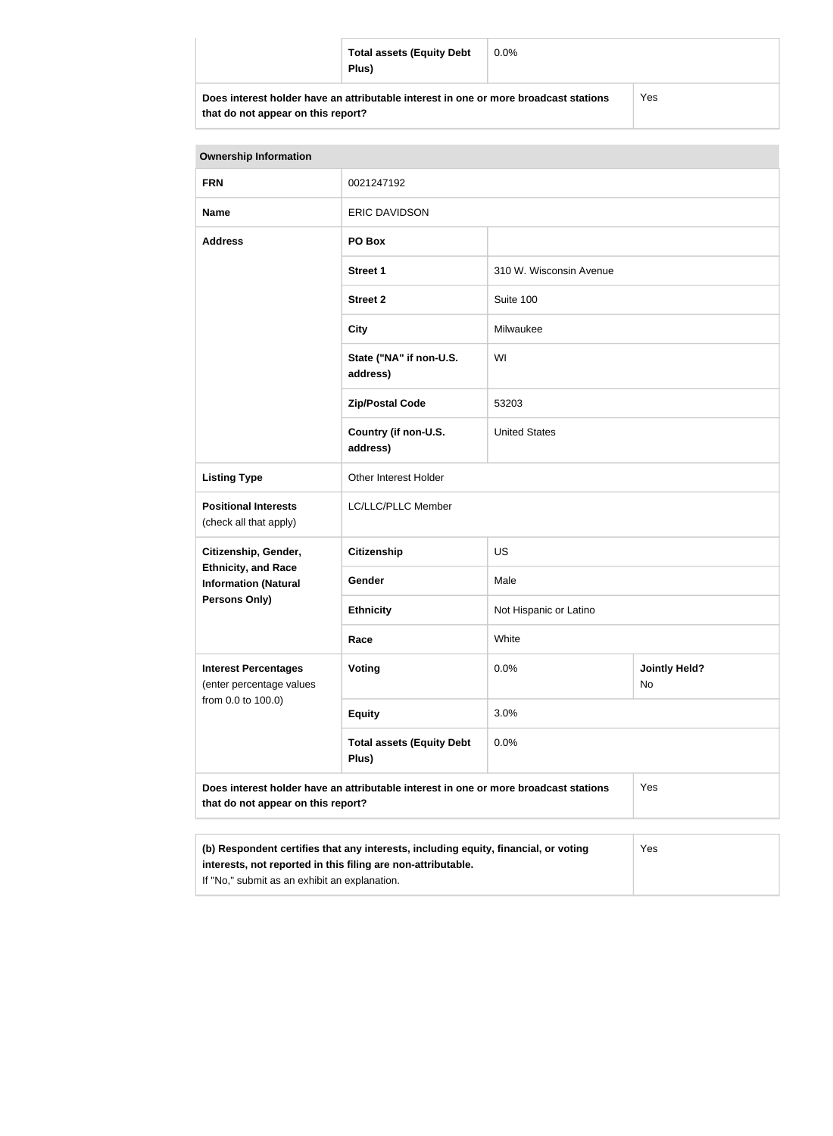| <b>Total assets (Equity Debt</b><br>Plus)                                            | $0.0\%$ |     |
|--------------------------------------------------------------------------------------|---------|-----|
| Does interest holder have an attributable interest in one or more broadcast stations |         | Yes |

| that do not appear on this report? |
|------------------------------------|
|------------------------------------|

| <b>Ownership Information</b>                                                                                                      |                                           |                         |                            |  |
|-----------------------------------------------------------------------------------------------------------------------------------|-------------------------------------------|-------------------------|----------------------------|--|
| <b>FRN</b>                                                                                                                        | 0021247192                                |                         |                            |  |
| <b>Name</b>                                                                                                                       | <b>ERIC DAVIDSON</b>                      |                         |                            |  |
| <b>Address</b>                                                                                                                    | PO Box                                    |                         |                            |  |
|                                                                                                                                   | <b>Street 1</b>                           | 310 W. Wisconsin Avenue |                            |  |
|                                                                                                                                   | <b>Street 2</b>                           | Suite 100               |                            |  |
|                                                                                                                                   | <b>City</b>                               | Milwaukee               |                            |  |
|                                                                                                                                   | State ("NA" if non-U.S.<br>address)       | WI                      |                            |  |
|                                                                                                                                   | <b>Zip/Postal Code</b>                    | 53203                   |                            |  |
|                                                                                                                                   | Country (if non-U.S.<br>address)          | <b>United States</b>    |                            |  |
| <b>Listing Type</b>                                                                                                               | Other Interest Holder                     |                         |                            |  |
| <b>Positional Interests</b><br>(check all that apply)                                                                             | LC/LLC/PLLC Member                        |                         |                            |  |
| Citizenship, Gender,                                                                                                              | <b>Citizenship</b>                        | <b>US</b>               |                            |  |
| <b>Ethnicity, and Race</b><br><b>Information (Natural</b>                                                                         | Gender                                    | Male                    |                            |  |
| <b>Persons Only)</b>                                                                                                              | <b>Ethnicity</b>                          | Not Hispanic or Latino  |                            |  |
|                                                                                                                                   | Race                                      | White                   |                            |  |
| <b>Interest Percentages</b><br>(enter percentage values<br>from 0.0 to 100.0)                                                     | Voting                                    | 0.0%                    | <b>Jointly Held?</b><br>No |  |
|                                                                                                                                   | <b>Equity</b>                             | 3.0%                    |                            |  |
|                                                                                                                                   | <b>Total assets (Equity Debt</b><br>Plus) | 0.0%                    |                            |  |
| Does interest holder have an attributable interest in one or more broadcast stations<br>Yes<br>that do not appear on this report? |                                           |                         |                            |  |
|                                                                                                                                   |                                           |                         |                            |  |

| (b) Respondent certifies that any interests, including equity, financial, or voting | Yes |
|-------------------------------------------------------------------------------------|-----|
| interests, not reported in this filing are non-attributable.                        |     |
| If "No," submit as an exhibit an explanation.                                       |     |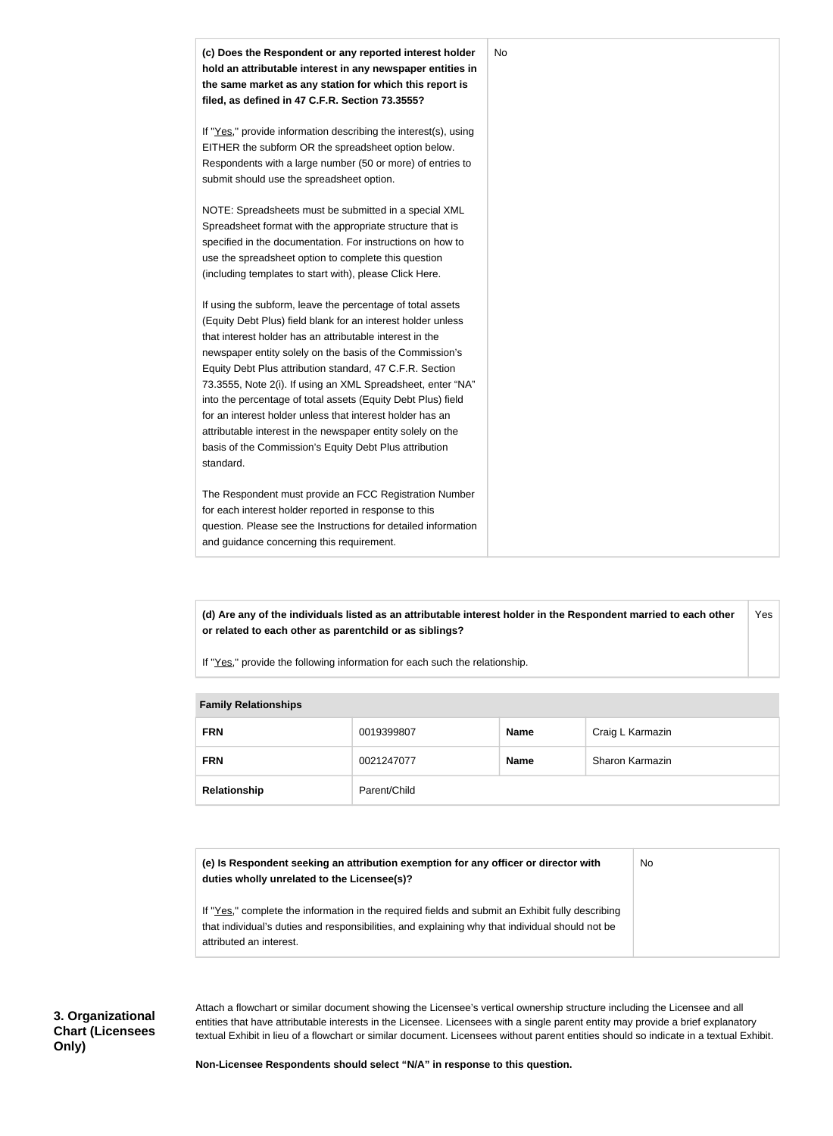

**(d) Are any of the individuals listed as an attributable interest holder in the Respondent married to each other or related to each other as parentchild or as siblings?** Yes

If "Yes," provide the following information for each such the relationship.

#### **Family Relationships**

| <b>FRN</b>   | 0019399807   | <b>Name</b> | Craig L Karmazin |
|--------------|--------------|-------------|------------------|
| <b>FRN</b>   | 0021247077   | <b>Name</b> | Sharon Karmazin  |
| Relationship | Parent/Child |             |                  |

| (e) Is Respondent seeking an attribution exemption for any officer or director with<br>duties wholly unrelated to the Licensee(s)?                                                                                             | No |
|--------------------------------------------------------------------------------------------------------------------------------------------------------------------------------------------------------------------------------|----|
| If "Yes," complete the information in the required fields and submit an Exhibit fully describing<br>that individual's duties and responsibilities, and explaining why that individual should not be<br>attributed an interest. |    |

Attach a flowchart or similar document showing the Licensee's vertical ownership structure including the Licensee and all entities that have attributable interests in the Licensee. Licensees with a single parent entity may provide a brief explanatory textual Exhibit in lieu of a flowchart or similar document. Licensees without parent entities should so indicate in a textual Exhibit.

**Non-Licensee Respondents should select "N/A" in response to this question.**